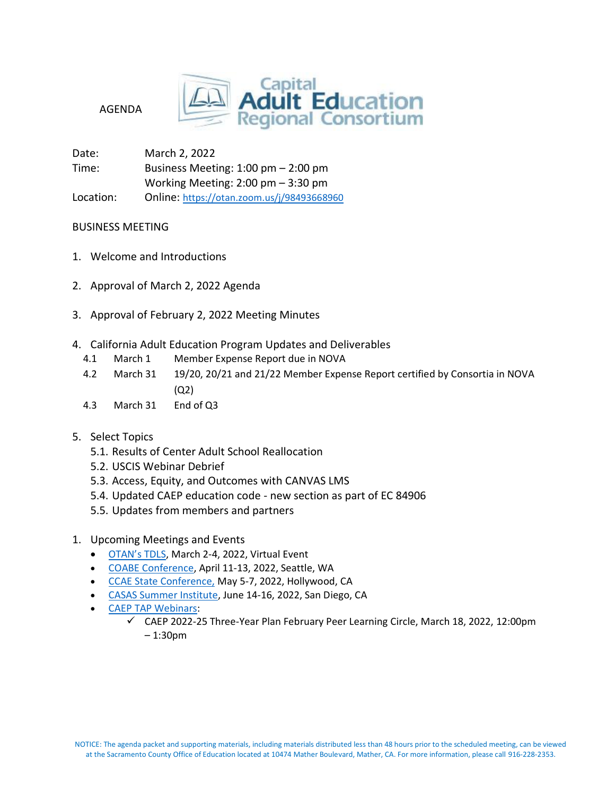

AGENDA

Date: March 2, 2022 Time: Business Meeting: 1:00 pm – 2:00 pm Working Meeting: 2:00 pm – 3:30 pm Location: Online: <https://otan.zoom.us/j/98493668960>

## BUSINESS MEETING

- 1. Welcome and Introductions
- 2. Approval of March 2, 2022 Agenda
- 3. Approval of February 2, 2022 Meeting Minutes
- 4. California Adult Education Program Updates and Deliverables
	- 4.1 March 1 Member Expense Report due in NOVA
	- 4.2 March 31 19/20, 20/21 and 21/22 Member Expense Report certified by Consortia in NOVA  $(02)$
	- 4.3 March 31 End of Q3
- 5. Select Topics
	- 5.1. Results of Center Adult School Reallocation
	- 5.2. USCIS Webinar Debrief
	- 5.3. Access, Equity, and Outcomes with CANVAS LMS
	- 5.4. Updated CAEP education code new section as part of EC 84906
	- 5.5. Updates from members and partners
- 1. Upcoming Meetings and Events
	- [OTAN's TDLS,](https://tdls.otan.us/) March 2-4, 2022, Virtual Event
	- [COABE Conference](https://coabe.org/2022-coabe-national-conference/), April 11-13, 2022, Seattle, WA
	- [CCAE State Conference,](https://www.ccaestate.org/conference-2022.html) May 5-7, 2022, Hollywood, CA
	- [CASAS Summer Institute,](https://www.casas.org/training-and-support/SI/prepare-for-2022) June 14-16, 2022, San Diego, CA
	- [CAEP TAP Webinars:](https://caladulted.org/Events)
		- $\checkmark$  CAEP 2022-25 Three-Year Plan February Peer Learning Circle, March 18, 2022, 12:00pm – 1:30p[m](https://register.caladulted.org/Home/EventDetail/525)